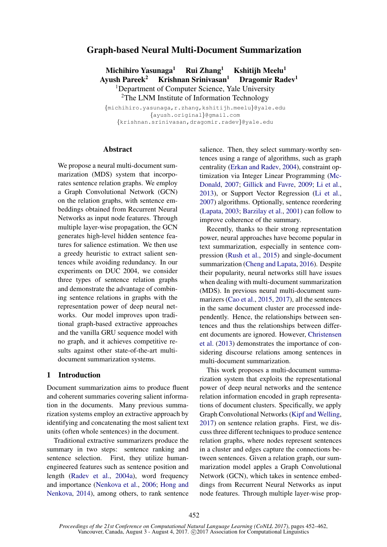# Graph-based Neural Multi-Document Summarization

Michihiro Yasunaga<sup>1</sup> Rui Zhang<sup>1</sup> Kshitiih Meelu<sup>1</sup> Ayush Pareek<sup>2</sup> Krishnan Srinivasan<sup>1</sup> Dragomir Radev<sup>1</sup> <sup>1</sup>Department of Computer Science, Yale University <sup>2</sup>The LNM Institute of Information Technology

{michihiro.yasunaga,r.zhang,kshitijh.meelu}@yale.edu {ayush.original}@gmail.com {krishnan.srinivasan,dragomir.radev}@yale.edu

### **Abstract**

We propose a neural multi-document summarization (MDS) system that incorporates sentence relation graphs. We employ a Graph Convolutional Network (GCN) on the relation graphs, with sentence embeddings obtained from Recurrent Neural Networks as input node features. Through multiple layer-wise propagation, the GCN generates high-level hidden sentence features for salience estimation. We then use a greedy heuristic to extract salient sentences while avoiding redundancy. In our experiments on DUC 2004, we consider three types of sentence relation graphs and demonstrate the advantage of combining sentence relations in graphs with the representation power of deep neural networks. Our model improves upon traditional graph-based extractive approaches and the vanilla GRU sequence model with no graph, and it achieves competitive results against other state-of-the-art multidocument summarization systems.

## 1 Introduction

Document summarization aims to produce fluent and coherent summaries covering salient information in the documents. Many previous summarization systems employ an extractive approach by identifying and concatenating the most salient text units (often whole sentences) in the document.

Traditional extractive summarizers produce the summary in two steps: sentence ranking and sentence selection. First, they utilize humanengineered features such as sentence position and length (Radev et al., 2004a), word frequency and importance (Nenkova et al., 2006; Hong and Nenkova, 2014), among others, to rank sentence salience. Then, they select summary-worthy sentences using a range of algorithms, such as graph centrality (Erkan and Radev, 2004), constraint optimization via Integer Linear Programming (Mc-Donald, 2007; Gillick and Favre, 2009; Li et al., 2013), or Support Vector Regression (Li et al., 2007) algorithms. Optionally, sentence reordering (Lapata, 2003; Barzilay et al., 2001) can follow to improve coherence of the summary.

Recently, thanks to their strong representation power, neural approaches have become popular in text summarization, especially in sentence compression (Rush et al., 2015) and single-document summarization (Cheng and Lapata, 2016). Despite their popularity, neural networks still have issues when dealing with multi-document summarization (MDS). In previous neural multi-document summarizers (Cao et al., 2015, 2017), all the sentences in the same document cluster are processed independently. Hence, the relationships between sentences and thus the relationships between different documents are ignored. However, Christensen et al. (2013) demonstrates the importance of considering discourse relations among sentences in multi-document summarization.

This work proposes a multi-document summarization system that exploits the representational power of deep neural networks and the sentence relation information encoded in graph representations of document clusters. Specifically, we apply Graph Convolutional Networks (Kipf and Welling, 2017) on sentence relation graphs. First, we discuss three different techniques to produce sentence relation graphs, where nodes represent sentences in a cluster and edges capture the connections between sentences. Given a relation graph, our summarization model apples a Graph Convolutional Network (GCN), which takes in sentence embeddings from Recurrent Neural Networks as input node features. Through multiple layer-wise prop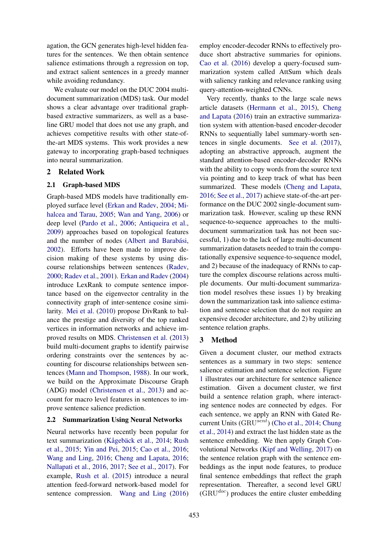agation, the GCN generates high-level hidden features for the sentences. We then obtain sentence salience estimations through a regression on top, and extract salient sentences in a greedy manner while avoiding redundancy.

We evaluate our model on the DUC 2004 multidocument summarization (MDS) task. Our model shows a clear advantage over traditional graphbased extractive summarizers, as well as a baseline GRU model that does not use any graph, and achieves competitive results with other state-ofthe-art MDS systems. This work provides a new gateway to incorporating graph-based techniques into neural summarization.

## 2 Related Work

## 2.1 Graph-based MDS

Graph-based MDS models have traditionally employed surface level (Erkan and Radev, 2004; Mihalcea and Tarau, 2005; Wan and Yang, 2006) or deep level (Pardo et al., 2006; Antiqueira et al., 2009) approaches based on topological features and the number of nodes (Albert and Barabási, 2002). Efforts have been made to improve decision making of these systems by using discourse relationships between sentences (Radev, 2000; Radev et al., 2001). Erkan and Radev (2004) introduce LexRank to compute sentence importance based on the eigenvector centrality in the connectivity graph of inter-sentence cosine similarity. Mei et al. (2010) propose DivRank to balance the prestige and diversity of the top ranked vertices in information networks and achieve improved results on MDS. Christensen et al. (2013) build multi-document graphs to identify pairwise ordering constraints over the sentences by accounting for discourse relationships between sentences (Mann and Thompson, 1988). In our work, we build on the Approximate Discourse Graph (ADG) model (Christensen et al., 2013) and account for macro level features in sentences to improve sentence salience prediction.

## 2.2 Summarization Using Neural Networks

Neural networks have recently been popular for text summarization (Kågebäck et al., 2014; Rush et al., 2015; Yin and Pei, 2015; Cao et al., 2016; Wang and Ling, 2016; Cheng and Lapata, 2016; Nallapati et al., 2016, 2017; See et al., 2017). For example, Rush et al. (2015) introduce a neural attention feed-forward network-based model for sentence compression. Wang and Ling (2016)

employ encoder-decoder RNNs to effectively produce short abstractive summaries for opinions. Cao et al. (2016) develop a query-focused summarization system called AttSum which deals with saliency ranking and relevance ranking using query-attention-weighted CNNs.

Very recently, thanks to the large scale news article datasets (Hermann et al., 2015), Cheng and Lapata (2016) train an extractive summarization system with attention-based encoder-decoder RNNs to sequentially label summary-worth sentences in single documents. See et al. (2017), adopting an abstractive approach, augment the standard attention-based encoder-decoder RNNs with the ability to copy words from the source text via pointing and to keep track of what has been summarized. These models (Cheng and Lapata, 2016; See et al., 2017) achieve state-of-the-art performance on the DUC 2002 single-document summarization task. However, scaling up these RNN sequence-to-sequence approaches to the multidocument summarization task has not been successful, 1) due to the lack of large multi-document summarization datasets needed to train the computationally expensive sequence-to-sequence model, and 2) because of the inadequacy of RNNs to capture the complex discourse relations across multiple documents. Our multi-document summarization model resolves these issues 1) by breaking down the summarization task into salience estimation and sentence selection that do not require an expensive decoder architecture, and 2) by utilizing sentence relation graphs.

# 3 Method

Given a document cluster, our method extracts sentences as a summary in two steps: sentence salience estimation and sentence selection. Figure 1 illustrates our architecture for sentence salience estimation. Given a document cluster, we first build a sentence relation graph, where interacting sentence nodes are connected by edges. For each sentence, we apply an RNN with Gated Recurrent Units (GRUsent) (Cho et al., 2014; Chung et al., 2014) and extract the last hidden state as the sentence embedding. We then apply Graph Convolutional Networks (Kipf and Welling, 2017) on the sentence relation graph with the sentence embeddings as the input node features, to produce final sentence embeddings that reflect the graph representation. Thereafter, a second level GRU  $(GRU<sup>doc</sup>)$  produces the entire cluster embedding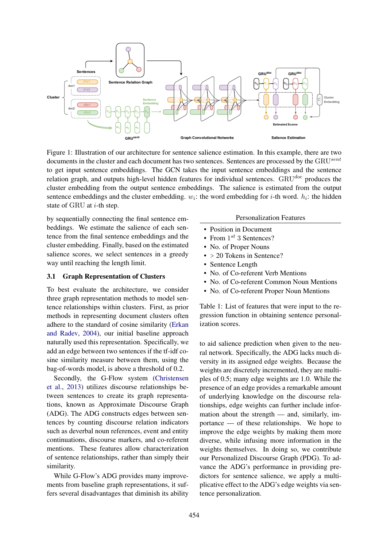

Figure 1: Illustration of our architecture for sentence salience estimation. In this example, there are two documents in the cluster and each document has two sentences. Sentences are processed by the GRU<sup>sent</sup> to get input sentence embeddings. The GCN takes the input sentence embeddings and the sentence relation graph, and outputs high-level hidden features for individual sentences.  $GRU^{doc}$  produces the cluster embedding from the output sentence embeddings. The salience is estimated from the output sentence embeddings and the cluster embedding.  $w_i$ : the word embedding for *i*-th word.  $h_i$ : the hidden state of GRU at  $i$ -th step.

cluster embedding. Finally, based on the estimated  $\bullet$  No. of Proper Nouns by sequentially connecting the final sentence embeddings. We estimate the salience of each sentence from the final sentence embeddings and the salience scores, we select sentences in a greedy way until reaching the length limit.

### 3.1 Graph Representation of Clusters

To best evaluate the architecture, we consider three graph representation methods to model sentence relationships within clusters. First, as prior methods in representing document clusters often adhere to the standard of cosine similarity (Erkan and Radev, 2004), our initial baseline approach naturally used this representation. Specifically, we add an edge between two sentences if the tf-idf cosine similarity measure between them, using the bag-of-words model, is above a threshold of 0.2.

Secondly, the G-Flow system (Christensen et al., 2013) utilizes discourse relationships between sentences to create its graph representations, known as Approximate Discourse Graph (ADG). The ADG constructs edges between sentences by counting discourse relation indicators such as deverbal noun references, event and entity continuations, discourse markers, and co-referent mentions. These features allow characterization of sentence relationships, rather than simply their similarity.

While G-Flow's ADG provides many improvements from baseline graph representations, it suffers several disadvantages that diminish its ability

#### Personalization Features

- Position in Document
- From  $1^{st}$  3 Sentences?
- No. of Proper Nouns
- > 20 Tokens in Sentence?
- Sentence Length
- No. of Co-referent Verb Mentions
- No. of Co-referent Common Noun Mentions
- No. of Co-referent Proper Noun Mentions

Table 1: List of features that were input to the regression function in obtaining sentence personalization scores.

to aid salience prediction when given to the neural network. Specifically, the ADG lacks much diversity in its assigned edge weights. Because the weights are discretely incremented, they are multiples of 0.5; many edge weights are 1.0. While the presence of an edge provides a remarkable amount of underlying knowledge on the discourse relationships, edge weights can further include information about the strength — and, similarly, importance — of these relationships. We hope to improve the edge weights by making them more diverse, while infusing more information in the weights themselves. In doing so, we contribute our Personalized Discourse Graph (PDG). To advance the ADG's performance in providing predictors for sentence salience, we apply a multiplicative effect to the ADG's edge weights via sentence personalization.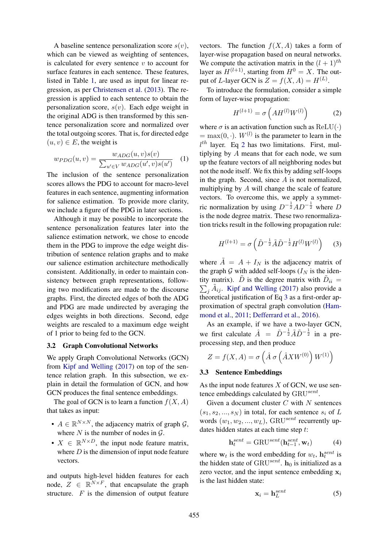A baseline sentence personalization score  $s(v)$ , which can be viewed as weighting of sentences, is calculated for every sentence  $v$  to account for surface features in each sentence. These features, listed in Table 1, are used as input for linear regression, as per Christensen et al. (2013). The regression is applied to each sentence to obtain the personalization score,  $s(v)$ . Each edge weight in the original ADG is then transformed by this sentence personalization score and normalized over the total outgoing scores. That is, for directed edge  $(u, v) \in E$ , the weight is

$$
w_{PDG}(u,v) = \frac{w_{ADG}(u,v)s(v)}{\sum_{u' \in V} w_{ADG}(u',v)s(u')} \quad (1)
$$

The inclusion of the sentence personalization scores allows the PDG to account for macro-level features in each sentence, augmenting information for salience estimation. To provide more clarity, we include a figure of the PDG in later sections.

Although it may be possible to incorporate the sentence personalization features later into the salience estimation network, we chose to encode them in the PDG to improve the edge weight distribution of sentence relation graphs and to make our salience estimation architecture methodically consistent. Additionally, in order to maintain consistency between graph representations, following two modifications are made to the discourse graphs. First, the directed edges of both the ADG and PDG are made undirected by averaging the edges weights in both directions. Second, edge weights are rescaled to a maximum edge weight of 1 prior to being fed to the GCN.

#### 3.2 Graph Convolutional Networks

We apply Graph Convolutional Networks (GCN) from Kipf and Welling (2017) on top of the sentence relation graph. In this subsection, we explain in detail the formulation of GCN, and how GCN produces the final sentence embeddings.

The goal of GCN is to learn a function  $f(X, A)$ that takes as input:

- $A \in \mathbb{R}^{N \times N}$ , the adjacency matrix of graph  $\mathcal{G}$ , where  $N$  is the number of nodes in  $G$ .
- $X \in \mathbb{R}^{N \times D}$ , the input node feature matrix, where  $D$  is the dimension of input node feature vectors.

and outputs high-level hidden features for each node,  $Z \in \mathbb{R}^{N \times F}$ , that encapsulate the graph structure.  $F$  is the dimension of output feature vectors. The function  $f(X, A)$  takes a form of layer-wise propagation based on neural networks. We compute the activation matrix in the  $(l + 1)$ <sup>th</sup> layer as  $H^{(l+1)}$ , starting from  $H^0 = X$ . The output of *L*-layer GCN is  $Z = f(X, A) = H^{(L)}$ .

To introduce the formulation, consider a simple form of layer-wise propagation:

$$
H^{(l+1)} = \sigma\left(AH^{(l)}W^{(l)}\right) \tag{2}
$$

where  $\sigma$  is an activation function such as ReLU( $\cdot$ )  $=$  max $(0, \cdot)$ .  $W^{(l)}$  is the parameter to learn in the  $l<sup>th</sup>$  layer. Eq 2 has two limitations. First, multiplying by A means that for each node, we sum up the feature vectors of all neighboring nodes but not the node itself. We fix this by adding self-loops in the graph. Second, since  $A$  is not normalized, multiplying by A will change the scale of feature vectors. To overcome this, we apply a symmetric normalization by using  $D^{-\frac{1}{2}}AD^{-\frac{1}{2}}$  where D is the node degree matrix. These two renormalization tricks result in the following propagation rule:

$$
H^{(l+1)} = \sigma\left(\tilde{D}^{-\frac{1}{2}}\tilde{A}\tilde{D}^{-\frac{1}{2}}H^{(l)}W^{(l)}\right) \quad (3)
$$

where  $\tilde{A} = A + I_N$  is the adjacency matrix of the graph G with added self-loops  $(I_N)$  is the identity matrix).  $\tilde{D}$  is the degree matrix with  $\tilde{D}_{ii}$  =  $\sum_j \tilde{A}_{ij}$ . Kipf and Welling (2017) also provide a theoretical justification of Eq 3 as a first-order approximation of spectral graph convolution (Hammond et al., 2011; Defferrard et al., 2016).

As an example, if we have a two-layer GCN, we first calculate  $\hat{A} = \tilde{D}^{-\frac{1}{2}} \tilde{A} \tilde{D}^{-\frac{1}{2}}$  in a preprocessing step, and then produce

$$
Z = f(X, A) = \sigma\left(\hat{A} \sigma\left(\hat{A} X W^{(0)}\right) W^{(1)}\right)
$$

### 3.3 Sentence Embeddings

As the input node features  $X$  of GCN, we use sentence embeddings calculated by GRUsent.

Given a document cluster  $C$  with  $N$  sentences  $(s_1, s_2, ..., s_N)$  in total, for each sentence  $s_i$  of L words  $(w_1, w_2, ..., w_L)$ , GRU<sup>sent</sup> recurrently updates hidden states at each time step t:

$$
\mathbf{h}_t^{sent} = \text{GRU}^{sent}(\mathbf{h}_{t-1}^{sent}, \mathbf{w}_t)
$$
 (4)

where  $w_t$  is the word embedding for  $w_t$ ,  $h_t^{sent}$  is the hidden state of GRU<sup>sent</sup>.  $\mathbf{h}_0$  is initialized as a zero vector, and the input sentence embedding  $x_i$ is the last hidden state:

$$
\mathbf{x}_i = \mathbf{h}_L^{sent} \tag{5}
$$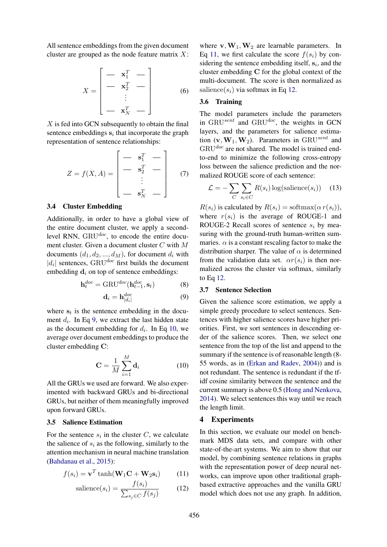All sentence embeddings from the given document cluster are grouped as the node feature matrix  $X$ :

$$
X = \begin{bmatrix} - & \mathbf{x}_1^T & - \\ - & \mathbf{x}_2^T & - \\ \vdots & & \\ - & \mathbf{x}_N^T & - \end{bmatrix}
$$
 (6)

 $X$  is fed into GCN subsequently to obtain the final sentence embeddings  $s_i$  that incorporate the graph representation of sentence relationships:

$$
Z = f(X, A) = \begin{bmatrix} - & \mathbf{s}_1^T & - \\ - & \mathbf{s}_2^T & - \\ \vdots & & \vdots \\ - & \mathbf{s}_N^T & - \end{bmatrix} \tag{7}
$$

### 3.4 Cluster Embedding

Additionally, in order to have a global view of the entire document cluster, we apply a secondlevel RNN,  $\text{GRU}^{doc}$ , to encode the entire document cluster. Given a document cluster C with M documents  $(d_1, d_2, ..., d_M)$ , for document  $d_i$  with | $|d_i|$  sentences, GRU<sup>doc</sup> first builds the document embedding  $\mathbf{d}_i$  on top of sentence embeddings:

$$
\mathbf{h}_t^{doc} = \text{GRU}^{doc}(\mathbf{h}_{t-1}^{doc}, \mathbf{s}_t)
$$
 (8)

$$
\mathbf{d}_i = \mathbf{h}_{|d_i|}^{doc} \tag{9}
$$

where  $s_t$  is the sentence embedding in the document  $d_i$ . In Eq 9, we extract the last hidden state as the document embedding for  $d_i$ . In Eq 10, we average over document embeddings to produce the cluster embedding C:

$$
\mathbf{C} = \frac{1}{M} \sum_{i=1}^{M} \mathbf{d}_i
$$
 (10)

All the GRUs we used are forward. We also experimented with backward GRUs and bi-directional GRUs, but neither of them meaningfully improved upon forward GRUs.

#### 3.5 Salience Estimation

For the sentence  $s_i$  in the cluster C, we calculate the salience of  $s_i$  as the following, similarly to the attention mechanism in neural machine translation (Bahdanau et al., 2015):

$$
f(s_i) = \mathbf{v}^T \tanh(\mathbf{W}_1 \mathbf{C} + \mathbf{W}_2 \mathbf{s}_i)
$$
 (11)

$$
\text{salience}(s_i) = \frac{f(s_i)}{\sum_{s_j \in C} f(s_j)}\tag{12}
$$

where  $v, W_1, W_2$  are learnable parameters. In Eq 11, we first calculate the score  $f(s_i)$  by considering the sentence embedding itself,  $s_i$ , and the cluster embedding C for the global context of the multi-document. The score is then normalized as salience( $s_i$ ) via softmax in Eq 12.

### 3.6 Training

The model parameters include the parameters in GRU<sup>sent</sup> and GRU<sup>doc</sup>, the weights in GCN layers, and the parameters for salience estimation  $(\mathbf{v}, \mathbf{W}_1, \mathbf{W}_2)$ . Parameters in GRU<sup>sent</sup> and  $GRU^{doc}$  are not shared. The model is trained endto-end to minimize the following cross-entropy loss between the salience prediction and the normalized ROUGE score of each sentence:

$$
\mathcal{L} = -\sum_{C} \sum_{s_i \in C} R(s_i) \log(\text{salience}(s_i)) \quad (13)
$$

 $R(s_i)$  is calculated by  $R(s_i) = \text{softmax}(\alpha r(s_i)),$ where  $r(s_i)$  is the average of ROUGE-1 and ROUGE-2 Recall scores of sentence  $s_i$  by measuring with the ground-truth human-written summaries.  $\alpha$  is a constant rescaling factor to make the distribution sharper. The value of  $\alpha$  is determined from the validation data set.  $\alpha r(s_i)$  is then normalized across the cluster via softmax, similarly to Eq 12.

## 3.7 Sentence Selection

Given the salience score estimation, we apply a simple greedy procedure to select sentences. Sentences with higher salience scores have higher priorities. First, we sort sentences in descending order of the salience scores. Then, we select one sentence from the top of the list and append to the summary if the sentence is of reasonable length (8- 55 words, as in (Erkan and Radev, 2004)) and is not redundant. The sentence is redundant if the tfidf cosine similarity between the sentence and the current summary is above 0.5 (Hong and Nenkova, 2014). We select sentences this way until we reach the length limit.

### 4 Experiments

In this section, we evaluate our model on benchmark MDS data sets, and compare with other state-of-the-art systems. We aim to show that our model, by combining sentence relations in graphs with the representation power of deep neural networks, can improve upon other traditional graphbased extractive approaches and the vanilla GRU model which does not use any graph. In addition,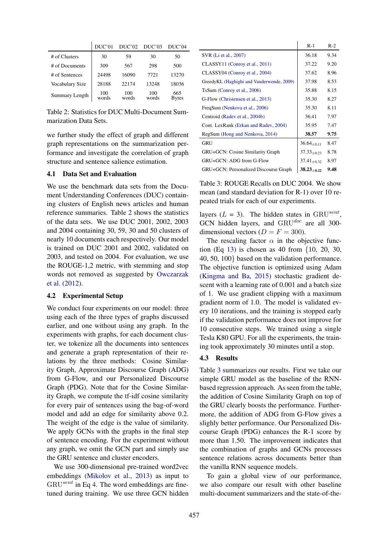|                       | DUC'01       | DUC'02       | DUC'03       | DUC'04              |
|-----------------------|--------------|--------------|--------------|---------------------|
| # of Clusters         | 30           | 59           | 30           | 50                  |
| # of Documents        | 309          | 567          | 298          | 500                 |
| # of Sentences        | 24498        | 16090        | 7721         | 13270               |
| Vocabulary Size       | 28188        | 22174        | 13248        | 18036               |
| <b>Summary Length</b> | 100<br>words | 100<br>words | 100<br>words | 665<br><b>Bytes</b> |

Table 2: Statistics for DUC Multi-Document Summarization Data Sets.

we further study the effect of graph and different graph representations on the summarization performance and investigate the correlation of graph structure and sentence salience estimation.

## 4.1 Data Set and Evaluation

We use the benchmark data sets from the Document Understanding Conferences (DUC) containing clusters of English news articles and human reference summaries. Table 2 shows the statistics of the data sets. We use DUC 2001, 2002, 2003 and 2004 containing 30, 59, 30 and 50 clusters of nearly 10 documents each respectively. Our model is trained on DUC 2001 and 2002, validated on 2003, and tested on 2004. For evaluation, we use the ROUGE-1,2 metric, with stemming and stop words not removed as suggested by Owczarzak et al. (2012).

### 4.2 Experimental Setup

We conduct four experiments on our model: three using each of the three types of graphs discussed earlier, and one without using any graph. In the experiments with graphs, for each document cluster, we tokenize all the documents into sentences and generate a graph representation of their relations by the three methods: Cosine Similarity Graph, Approximate Discourse Graph (ADG) from G-Flow, and our Personalized Discourse Graph (PDG). Note that for the Cosine Similarity Graph, we compute the tf-idf cosine similarity for every pair of sentences using the bag-of-word model and add an edge for similarity above 0.2. The weight of the edge is the value of similarity. We apply GCNs with the graphs in the final step of sentence encoding. For the experiment without any graph, we omit the GCN part and simply use the GRU sentence and cluster encoders.

We use 300-dimensional pre-trained word2vec embeddings (Mikolov et al., 2013) as input to  $GRU<sup>sent</sup>$  in Eq 4. The word embeddings are finetuned during training. We use three GCN hidden

|                                           | $R-1$           | $R-2$ |
|-------------------------------------------|-----------------|-------|
| SVR (Li et al., 2007)                     | 36.18           | 9.34  |
| CLASSY11 (Conroy et al., 2011)            | 37.22           | 9.20  |
| CLASSY04 (Conroy et al., 2004)            | 37.62           | 8.96  |
| GreedyKL (Haghighi and Vanderwende, 2009) | 37.98           | 8.53  |
| TsSum (Conroy et al., 2006)               | 35.88           | 8.15  |
| G-Flow (Christensen et al., 2013)         | 35.30           | 8.27  |
| FreqSum (Nenkova et al., 2006)            | 35.30           | 8.11  |
| Centroid (Radev et al., 2004b)            | 36.41           | 7.97  |
| Cont. LexRank (Erkan and Radev, 2004)     | 35.95           | 7.47  |
| RegSum (Hong and Nenkova, 2014)           | 38.57           | 9.75  |
| <b>GRU</b>                                | $36.64_{+0.11}$ | 8.47  |
| GRU+GCN: Cosine Similarity Graph          | $37.33_{+0.23}$ | 8.78  |
| GRU+GCN: ADG from G-Flow                  | $37.41_{+0.32}$ | 8.97  |
| GRU+GCN: Personalized Discourse Graph     | $38.23_{+0.22}$ | 9.48  |

Table 3: ROUGE Recalls on DUC 2004. We show mean (and standard deviation for R-1) over 10 repeated trials for each of our experiments.

layers ( $L = 3$ ). The hidden states in GRU<sup>sent</sup>, GCN hidden layers, and  $GRU^{doc}$  are all 300dimensional vectors  $(D = F = 300)$ .

The rescaling factor  $\alpha$  in the objective function (Eq 13) is chosen as 40 from {10, 20, 30, 40, 50, 100} based on the validation performance. The objective function is optimized using Adam (Kingma and Ba, 2015) stochastic gradient descent with a learning rate of 0.001 and a batch size of 1. We use gradient clipping with a maximum gradient norm of 1.0. The model is validated every 10 iterations, and the training is stopped early if the validation performance does not improve for 10 consecutive steps. We trained using a single Tesla K80 GPU. For all the experiments, the training took approximately 30 minutes until a stop.

#### 4.3 Results

Table 3 summarizes our results. First we take our simple GRU model as the baseline of the RNNbased regression approach. As seen from the table, the addition of Cosine Similarity Graph on top of the GRU clearly boosts the performance. Furthermore, the addition of ADG from G-Flow gives a slighly better performance. Our Personalized Discourse Graph (PDG) enhances the R-1 score by more than 1.50. The improvement indicates that the combination of graphs and GCNs processes sentence relations across documents better than the vanilla RNN sequence models.

To gain a global view of our performance, we also compare our result with other baseline multi-document summarizers and the state-of-the-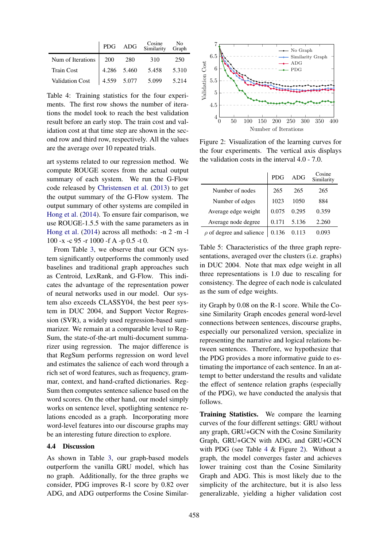|                        |             | PDG ADG | Cosine No<br>Similarity Graph |       |
|------------------------|-------------|---------|-------------------------------|-------|
| Num of Iterations      | <b>200</b>  | - 280   | 310                           | 250   |
| <b>Train Cost</b>      | 4.286 5.460 |         | 5.458                         | 5.310 |
| <b>Validation Cost</b> | 4.559 5.077 |         | 5.099                         | 5.214 |

Table 4: Training statistics for the four experiments. The first row shows the number of iterations the model took to reach the best validation result before an early stop. The train cost and validation cost at that time step are shown in the second row and third row, respectively. All the values are the average over 10 repeated trials.

art systems related to our regression method. We compute ROUGE scores from the actual output summary of each system. We run the G-Flow code released by Christensen et al. (2013) to get the output summary of the G-Flow system. The output summary of other systems are compiled in Hong et al. (2014). To ensure fair comparison, we use ROUGE-1.5.5 with the same parameters as in Hong et al. (2014) across all methods: -n 2 -m -l 100 -x -c 95 -r 1000 -f A -p 0.5 -t 0.

From Table 3, we observe that our GCN system significantly outperforms the commonly used baselines and traditional graph approaches such as Centroid, LexRank, and G-Flow. This indicates the advantage of the representation power of neural networks used in our model. Our system also exceeds CLASSY04, the best peer system in DUC 2004, and Support Vector Regression (SVR), a widely used regression-based summarizer. We remain at a comparable level to Reg-Sum, the state-of-the-art multi-document summarizer using regression. The major difference is that RegSum performs regression on word level and estimates the salience of each word through a rich set of word features, such as frequency, grammar, context, and hand-crafted dictionaries. Reg-Sum then computes sentence salience based on the word scores. On the other hand, our model simply works on sentence level, spotlighting sentence relations encoded as a graph. Incorporating more word-level features into our discourse graphs may be an interesting future direction to explore.

### 4.4 Discussion

As shown in Table 3, our graph-based models outperform the vanilla GRU model, which has no graph. Additionally, for the three graphs we consider, PDG improves R-1 score by 0.82 over ADG, and ADG outperforms the Cosine Similar-



values Figure 2: Visualization of the learning curves for the four experiments. The vertical axis displays the validation costs in the interval 4.0 - 7.0.

|                               | PDG   | ADG   | Cosine<br>Similarity |
|-------------------------------|-------|-------|----------------------|
| Number of nodes               | 265   | 265   | 265                  |
| Number of edges               | 1023  | 1050  | 884                  |
| Average edge weight           | 0.075 | 0.295 | 0.359                |
| Average node degree           | 0.171 | 5.136 | 2.260                |
| $\rho$ of degree and salience | 0.136 | 0.113 | 0.093                |

Table 5: Characteristics of the three graph representations, averaged over the clusters (i.e. graphs) in DUC 2004. Note that max edge weight in all three representations is 1.0 due to rescaling for consistency. The degree of each node is calculated as the sum of edge weights.

tempt to better understand the results and validate ity Graph by 0.08 on the R-1 score. While the Cosine Similarity Graph encodes general word-level connections between sentences, discourse graphs, especially our personalized version, specialize in representing the narrative and logical relations between sentences. Therefore, we hypothesize that the PDG provides a more informative guide to estimating the importance of each sentence. In an atthe effect of sentence relation graphs (especially of the PDG), we have conducted the analysis that follows.

Training Statistics. We compare the learning curves of the four different settings: GRU without any graph, GRU+GCN with the Cosine Similarity Graph, GRU+GCN with ADG, and GRU+GCN with PDG (see Table 4 & Figure 2). Without a graph, the model converges faster and achieves lower training cost than the Cosine Similarity Graph and ADG. This is most likely due to the simplicity of the architecture, but it is also less generalizable, yielding a higher validation cost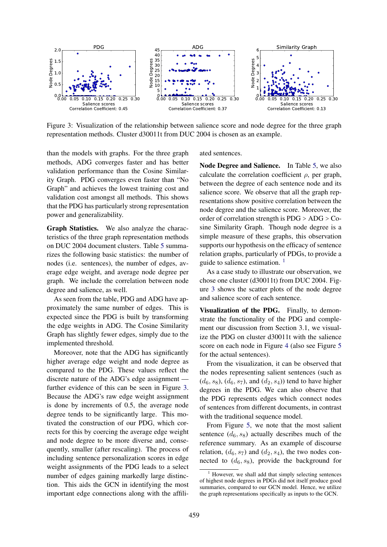

Figure 3: Visualization of the relationship between salience score and node degree for the three graph representation methods. Cluster d30011t from DUC 2004 is chosen as an example.

than the models with graphs. For the three graph methods, ADG converges faster and has better validation performance than the Cosine Similarity Graph. PDG converges even faster than "No Graph" and achieves the lowest training cost and validation cost amongst all methods. This shows that the PDG has particularly strong representation power and generalizability.

Graph Statistics. We also analyze the characteristics of the three graph representation methods on DUC 2004 document clusters. Table 5 summarizes the following basic statistics: the number of nodes (i.e. sentences), the number of edges, average edge weight, and average node degree per graph. We include the correlation between node degree and salience, as well.

As seen from the table, PDG and ADG have approximately the same number of edges. This is expected since the PDG is built by transforming the edge weights in ADG. The Cosine Similarity Graph has slightly fewer edges, simply due to the implemented threshold.

Moreover, note that the ADG has significantly higher average edge weight and node degree as compared to the PDG. These values reflect the discrete nature of the ADG's edge assignment further evidence of this can be seen in Figure 3. Because the ADG's raw edge weight assignment is done by increments of 0.5, the average node degree tends to be significantly large. This motivated the construction of our PDG, which corrects for this by coercing the average edge weight and node degree to be more diverse and, consequently, smaller (after rescaling). The process of including sentence personalization scores in edge weight assignments of the PDG leads to a select number of edges gaining markedly large distinction. This aids the GCN in identifying the most important edge connections along with the affiliated sentences.

Node Degree and Salience. In Table 5, we also calculate the correlation coefficient  $\rho$ , per graph, between the degree of each sentence node and its salience score. We observe that all the graph representations show positive correlation between the node degree and the salience score. Moreover, the order of correlation strength is PDG > ADG > Cosine Similarity Graph. Though node degree is a simple measure of these graphs, this observation supports our hypothesis on the efficacy of sentence relation graphs, particularly of PDGs, to provide a guide to salience estimation. <sup>1</sup>

As a case study to illustrate our observation, we chose one cluster (d30011t) from DUC 2004. Figure 3 shows the scatter plots of the node degree and salience score of each sentence.

Visualization of the PDG. Finally, to demonstrate the functionality of the PDG and complement our discussion from Section 3.1, we visualize the PDG on cluster d30011t with the salience score on each node in Figure 4 (also see Figure 5 for the actual sentences).

From the visualization, it can be observed that the nodes representing salient sentences (such as  $(d_6, s_8)$ ,  $(d_6, s_7)$ , and  $(d_2, s_4)$  tend to have higher degrees in the PDG. We can also observe that the PDG represents edges which connect nodes of sentences from different documents, in contrast with the traditional sequence model.

From Figure 5, we note that the most salient sentence  $(d_6, s_8)$  actually describes much of the reference summary. As an example of discourse relation,  $(d_6, s_7)$  and  $(d_2, s_4)$ , the two nodes connected to  $(d_6, s_8)$ , provide the background for

<sup>1</sup> However, we shall add that simply selecting sentences of highest node degrees in PDGs did not itself produce good summaries, compared to our GCN model. Hence, we utilize the graph representations specifically as inputs to the GCN.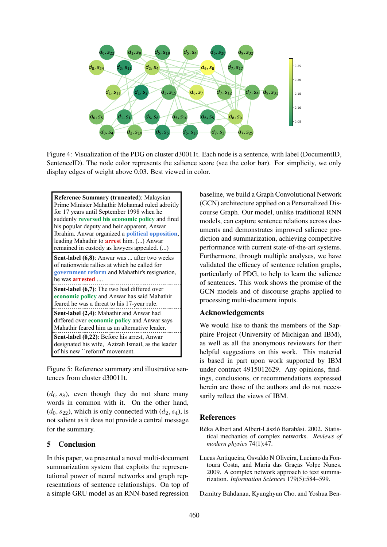

Figure 4: Visualization of the PDG on cluster d30011t. Each node is a sentence, with label (DocumentID, SentenceID). The node color represents the salience score (see the color bar). For simplicity, we only display edges of weight above 0.03. Best viewed in color.



Figure 5: Reference summary and illustrative sentences from cluster d30011t.

 $(d_6, s_8)$ , even though they do not share many words in common with it. On the other hand,  $(d_0, s_{22})$ , which is only connected with  $(d_2, s_4)$ , is not salient as it does not provide a central message for the summary.

## 5 Conclusion

In this paper, we presented a novel multi-document summarization system that exploits the representational power of neural networks and graph representations of sentence relationships. On top of a simple GRU model as an RNN-based regression baseline, we build a Graph Convolutional Network (GCN) architecture applied on a Personalized Discourse Graph. Our model, unlike traditional RNN models, can capture sentence relations across documents and demonstrates improved salience prediction and summarization, achieving competitive performance with current state-of-the-art systems. Furthermore, through multiple analyses, we have validated the efficacy of sentence relation graphs, particularly of PDG, to help to learn the salience of sentences. This work shows the promise of the GCN models and of discourse graphs applied to processing multi-document inputs.

### Acknowledgements

We would like to thank the members of the Sapphire Project (University of Michigan and IBM), as well as all the anonymous reviewers for their helpful suggestions on this work. This material is based in part upon work supported by IBM under contract 4915012629. Any opinions, findings, conclusions, or recommendations expressed herein are those of the authors and do not necessarily reflect the views of IBM.

### **References**

- Réka Albert and Albert-László Barabási. 2002. Statistical mechanics of complex networks. *Reviews of modern physics* 74(1):47.
- Lucas Antiqueira, Osvaldo N Oliveira, Luciano da Fontoura Costa, and Maria das Graças Volpe Nunes. 2009. A complex network approach to text summarization. *Information Sciences* 179(5):584–599.

Dzmitry Bahdanau, Kyunghyun Cho, and Yoshua Ben-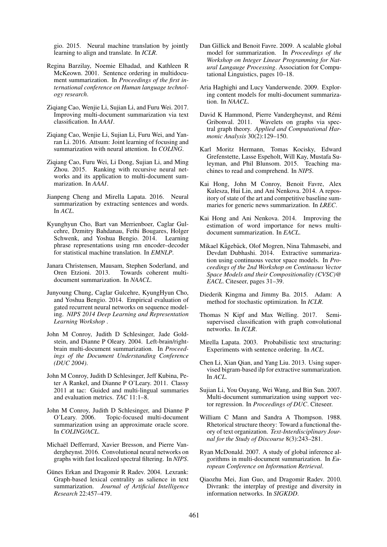gio. 2015. Neural machine translation by jointly learning to align and translate. In *ICLR*.

- Regina Barzilay, Noemie Elhadad, and Kathleen R McKeown. 2001. Sentence ordering in multidocument summarization. In *Proceedings of the first international conference on Human language technology research*.
- Ziqiang Cao, Wenjie Li, Sujian Li, and Furu Wei. 2017. Improving multi-document summarization via text classification. In *AAAI*.
- Zigiang Cao, Wenjie Li, Sujian Li, Furu Wei, and Yanran Li. 2016. Attsum: Joint learning of focusing and summarization with neural attention. In *COLING*.
- Zigiang Cao, Furu Wei, Li Dong, Sujian Li, and Ming Zhou. 2015. Ranking with recursive neural networks and its application to multi-document summarization. In *AAAI*.
- Jianpeng Cheng and Mirella Lapata. 2016. Neural summarization by extracting sentences and words. In *ACL*.
- Kyunghyun Cho, Bart van Merrienboer, Caglar Gulcehre, Dzmitry Bahdanau, Fethi Bougares, Holger Schwenk, and Yoshua Bengio. 2014. Learning phrase representations using rnn encoder–decoder for statistical machine translation. In *EMNLP*.
- Janara Christensen, Mausam, Stephen Soderland, and Oren Etzioni. 2013. Towards coherent multidocument summarization. In *NAACL*.
- Junyoung Chung, Caglar Gulcehre, KyungHyun Cho, and Yoshua Bengio. 2014. Empirical evaluation of gated recurrent neural networks on sequence modeling. *NIPS 2014 Deep Learning and Representation Learning Workshop* .
- John M Conroy, Judith D Schlesinger, Jade Goldstein, and Dianne P Oleary. 2004. Left-brain/rightbrain multi-document summarization. In *Proceedings of the Document Understanding Conference (DUC 2004)*.
- John M Conroy, Judith D Schlesinger, Jeff Kubina, Peter A Rankel, and Dianne P O'Leary. 2011. Classy 2011 at tac: Guided and multi-lingual summaries and evaluation metrics. *TAC* 11:1–8.
- John M Conroy, Judith D Schlesinger, and Dianne P O'Leary. 2006. Topic-focused multi-document summarization using an approximate oracle score. In *COLING/ACL*.
- Michaël Defferrard, Xavier Bresson, and Pierre Vandergheynst. 2016. Convolutional neural networks on graphs with fast localized spectral filtering. In *NIPS*.
- Günes Erkan and Dragomir R Radev. 2004. Lexrank: Graph-based lexical centrality as salience in text summarization. *Journal of Artificial Intelligence Research* 22:457–479.
- Dan Gillick and Benoit Favre. 2009. A scalable global model for summarization. In *Proceedings of the Workshop on Integer Linear Programming for Natural Langauge Processing*. Association for Computational Linguistics, pages 10–18.
- Aria Haghighi and Lucy Vanderwende. 2009. Exploring content models for multi-document summarization. In *NAACL*.
- David K Hammond, Pierre Vandergheynst, and Rémi Gribonval. 2011. Wavelets on graphs via spectral graph theory. *Applied and Computational Harmonic Analysis* 30(2):129–150.
- Karl Moritz Hermann, Tomas Kocisky, Edward Grefenstette, Lasse Espeholt, Will Kay, Mustafa Suleyman, and Phil Blunsom. 2015. Teaching machines to read and comprehend. In *NIPS*.
- Kai Hong, John M Conroy, Benoit Favre, Alex Kulesza, Hui Lin, and Ani Nenkova. 2014. A repository of state of the art and competitive baseline summaries for generic news summarization. In *LREC*.
- Kai Hong and Ani Nenkova. 2014. Improving the estimation of word importance for news multidocument summarization. In *EACL*.
- Mikael Kågebäck, Olof Mogren, Nina Tahmasebi, and Devdatt Dubhashi. 2014. Extractive summarization using continuous vector space models. In *Proceedings of the 2nd Workshop on Continuous Vector Space Models and their Compositionality (CVSC)@ EACL*. Citeseer, pages 31–39.
- Diederik Kingma and Jimmy Ba. 2015. Adam: A method for stochastic optimization. In *ICLR*.
- Thomas N Kipf and Max Welling. 2017. Semisupervised classification with graph convolutional networks. In *ICLR*.
- Mirella Lapata. 2003. Probabilistic text structuring: Experiments with sentence ordering. In *ACL*.
- Chen Li, Xian Qian, and Yang Liu. 2013. Using supervised bigram-based ilp for extractive summarization. In *ACL*.
- Sujian Li, You Ouyang, Wei Wang, and Bin Sun. 2007. Multi-document summarization using support vector regression. In *Proceedings of DUC*. Citeseer.
- William C Mann and Sandra A Thompson. 1988. Rhetorical structure theory: Toward a functional theory of text organization. *Text-Interdisciplinary Journal for the Study of Discourse* 8(3):243–281.
- Ryan McDonald. 2007. A study of global inference algorithms in multi-document summarization. In *European Conference on Information Retrieval*.
- Qiaozhu Mei, Jian Guo, and Dragomir Radev. 2010. Divrank: the interplay of prestige and diversity in information networks. In *SIGKDD*.